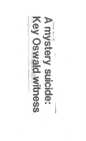